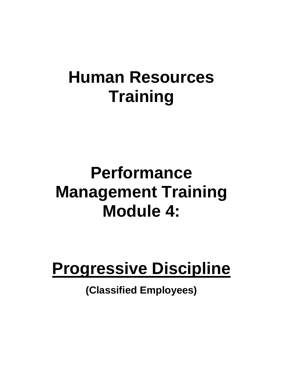# **Human Resources Training**

# **Performance Management Training Module 4:**

# **Progressive Discipline**

**(Classified Employees)**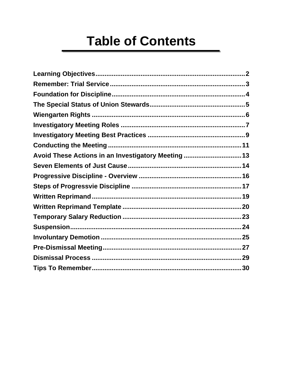# **Table of Contents**

| Avoid These Actions in an Investigatory Meeting 13 |  |
|----------------------------------------------------|--|
|                                                    |  |
|                                                    |  |
|                                                    |  |
|                                                    |  |
|                                                    |  |
|                                                    |  |
|                                                    |  |
|                                                    |  |
|                                                    |  |
|                                                    |  |
|                                                    |  |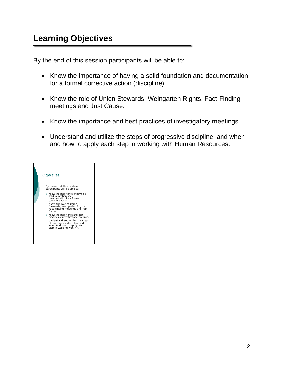<span id="page-2-0"></span>By the end of this session participants will be able to:

- Know the importance of having a solid foundation and documentation for a formal corrective action (discipline).
- Know the role of Union Stewards, Weingarten Rights, Fact-Finding meetings and Just Cause.
- Know the importance and best practices of investigatory meetings.
- Understand and utilize the steps of progressive discipline, and when and how to apply each step in working with Human Resources.

| Objectives                                                                                                                                                                                                                                                                                                                                                                                                                                                                                    |  |
|-----------------------------------------------------------------------------------------------------------------------------------------------------------------------------------------------------------------------------------------------------------------------------------------------------------------------------------------------------------------------------------------------------------------------------------------------------------------------------------------------|--|
| By the end of this module<br>participants will be able to:<br>○ Know the importance of having a<br>solid foundation and<br>documentation for a formal<br>corrective action.<br>o Know the role of Union<br>Stewards, Weingarten Rights,<br>Fact-Finding meetings and Just<br>Cause<br>○ Know the importance and best<br>practices of investigatory meetings.<br>o Understand and utilize the steps<br>of progressive discipline and<br>when and how to apply each<br>step in working with HR. |  |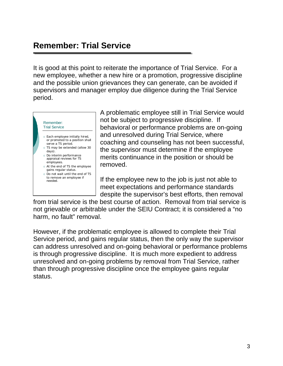## **Remember: Trial Service**

It is good at this point to reiterate the importance of Trial Service. For a new employee, whether a new hire or a promotion, progressive discipline and the possible union grievances they can generate, can be avoided if supervisors and manager employ due diligence during the Trial Service period.



A problematic employee still in Trial Service would not be subject to progressive discipline. If behavioral or performance problems are on-going and unresolved during Trial Service, where coaching and counseling has not been successful, the supervisor must determine if the employee merits continuance in the position or should be removed.

If the employee new to the job is just not able to meet expectations and performance standards despite the supervisor's best efforts, then removal

from trial service is the best course of action. Removal from trial service is not grievable or arbitrable under the SEIU Contract; it is considered a "no harm, no fault" removal.

However, if the problematic employee is allowed to complete their Trial Service period, and gains regular status, then the only way the supervisor can address unresolved and on-going behavioral or performance problems is through progressive discipline. It is much more expedient to address unresolved and on-going problems by removal from Trial Service, rather than through progressive discipline once the employee gains regular status.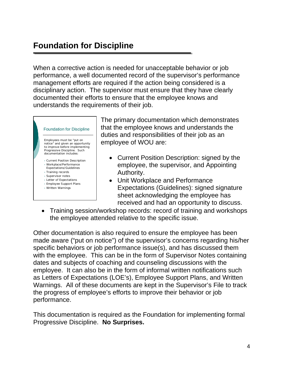## **Foundation for Discipline**

When a corrective action is needed for unacceptable behavior or job performance, a well documented record of the supervisor's performance management efforts are required if the action being considered is a disciplinary action. The supervisor must ensure that they have clearly documented their efforts to ensure that the employee knows and understands the requirements of their job.



- Expectations/Guidelines
- Training records
- Supervisor notes
- Letter of Expectations
- Employee Support Plans • Written Warnings
- The primary documentation which demonstrates that the employee knows and understands the duties and responsibilities of their job as an employee of WOU are:
	- Current Position Description: signed by the employee, the supervisor, and Appointing Authority.
	- Unit Workplace and Performance Expectations (Guidelines): signed signature sheet acknowledging the employee has received and had an opportunity to discuss.
- Training session/workshop records: record of training and workshops the employee attended relative to the specific issue.

Other documentation is also required to ensure the employee has been made aware ("put on notice") of the supervisor's concerns regarding his/her specific behaviors or job performance issue(s), and has discussed them with the employee. This can be in the form of Supervisor Notes containing dates and subjects of coaching and counseling discussions with the employee. It can also be in the form of informal written notifications such as Letters of Expectations (LOE's), Employee Support Plans, and Written Warnings. All of these documents are kept in the Supervisor's File to track the progress of employee's efforts to improve their behavior or job performance.

This documentation is required as the Foundation for implementing formal Progressive Discipline. **No Surprises.**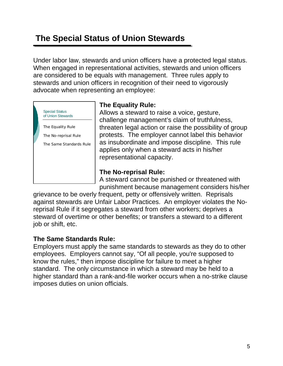## <span id="page-5-0"></span> **The Special Status of Union Stewards**

Under labor law, stewards and union officers have a protected legal status. When engaged in representational activities, stewards and union officers are considered to be equals with management. Three rules apply to stewards and union officers in recognition of their need to vigorously advocate when representing an employee:



#### **The Equality Rule:**

Allows a steward to raise a voice, gesture, challenge management's claim of truthfulness, threaten legal action or raise the possibility of group protests. The employer cannot label this behavior as insubordinate and impose discipline. This rule applies only when a steward acts in his/her representational capacity.

#### **The No-reprisal Rule:**

A steward cannot be punished or threatened with punishment because management considers his/her

grievance to be overly frequent, petty or offensively written. Reprisals against stewards are Unfair Labor Practices. An employer violates the Noreprisal Rule if it segregates a steward from other workers; deprives a steward of overtime or other benefits; or transfers a steward to a different job or shift, etc.

#### **The Same Standards Rule:**

Employers must apply the same standards to stewards as they do to other employees. Employers cannot say, "Of all people, you're supposed to know the rules," then impose discipline for failure to meet a higher standard. The only circumstance in which a steward may be held to a higher standard than a rank-and-file worker occurs when a no-strike clause imposes duties on union officials.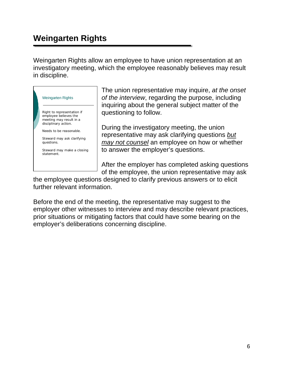## <span id="page-6-0"></span>**Weingarten Rights**

Weingarten Rights allow an employee to have union representation at an investigatory meeting, which the employee reasonably believes may result in discipline.



The union representative may inquire, *at the onset of the interview*, regarding the purpose, including inquiring about the general subject matter of the questioning to follow.

During the investigatory meeting, the union representative may ask clarifying questions *but may not counsel* an employee on how or whether to answer the employer's questions.

After the employer has completed asking questions of the employee, the union representative may ask

the employee questions designed to clarify previous answers or to elicit further relevant information.

Before the end of the meeting, the representative may suggest to the employer other witnesses to interview and may describe relevant practices, prior situations or mitigating factors that could have some bearing on the employer's deliberations concerning discipline.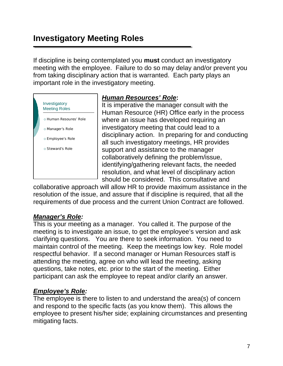## **Investigatory Meeting Roles**

If discipline is being contemplated you **must** conduct an investigatory meeting with the employee. Failure to do so may delay and/or prevent you from taking disciplinary action that is warranted. Each party plays an important role in the investigatory meeting.



#### *Human Resources' Role***:**

It is imperative the manager consult with the Human Resource (HR) Office early in the process where an issue has developed requiring an investigatory meeting that could lead to a disciplinary action. In preparing for and conducting all such investigatory meetings, HR provides support and assistance to the manager collaboratively defining the problem/issue, identifying/gathering relevant facts, the needed resolution, and what level of disciplinary action should be considered. This consultative and

collaborative approach will allow HR to provide maximum assistance in the resolution of the issue, and assure that if discipline is required, that all the requirements of due process and the current Union Contract are followed.

### *Manager's Role:*

This is your meeting as a manager. You called it. The purpose of the meeting is to investigate an issue, to get the employee's version and ask clarifying questions. You are there to seek information. You need to maintain control of the meeting. Keep the meetings low key. Role model respectful behavior. If a second manager or Human Resources staff is attending the meeting, agree on who will lead the meeting, asking questions, take notes, etc. prior to the start of the meeting. Either participant can ask the employee to repeat and/or clarify an answer.

### *Employee's Role:*

The employee is there to listen to and understand the area(s) of concern and respond to the specific facts (as you know them). This allows the employee to present his/her side; explaining circumstances and presenting mitigating facts.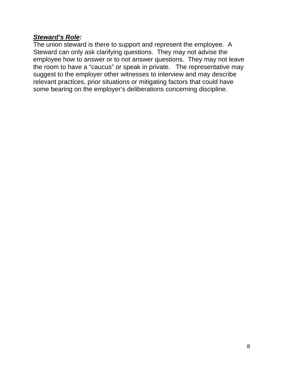#### *Steward's Role:*

The union steward is there to support and represent the employee. A Steward can only ask clarifying questions. They may not advise the employee how to answer or to not answer questions. They may not leave the room to have a "caucus" or speak in private. The representative may suggest to the employer other witnesses to interview and may describe relevant practices, prior situations or mitigating factors that could have some bearing on the employer's deliberations concerning discipline.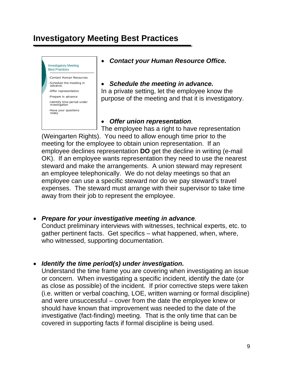## <span id="page-9-0"></span>**Investigatory Meeting Best Practices**



#### *Contact your Human Resource Office.*

#### *Schedule the meeting in advance.*  In a private setting, let the employee know the purpose of the meeting and that it is investigatory.

#### *Offer union representation.*

The employee has a right to have representation (Weingarten Rights). You need to allow enough time prior to the meeting for the employee to obtain union representation. If an employee declines representation **DO** get the decline in writing (e-mail OK). If an employee wants representation they need to use the nearest steward and make the arrangements. A union steward may represent an employee telephonically. We do not delay meetings so that an employee can use a specific steward nor do we pay steward's travel expenses. The steward must arrange with their supervisor to take time away from their job to represent the employee.

#### *Prepare for your investigative meeting in advance.*

Conduct preliminary interviews with witnesses, technical experts, etc. to gather pertinent facts. Get specifics – what happened, when, where, who witnessed, supporting documentation.

#### *Identify the time period(s) under investigation.*

Understand the time frame you are covering when investigating an issue or concern. When investigating a specific incident, identify the date (or as close as possible) of the incident. If prior corrective steps were taken (i.e. written or verbal coaching, LOE, written warning or formal discipline) and were unsuccessful – cover from the date the employee knew or should have known that improvement was needed to the date of the investigative (fact-finding) meeting. That is the only time that can be covered in supporting facts if formal discipline is being used.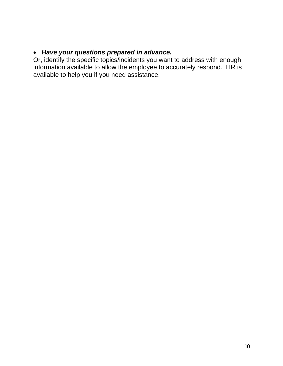#### *Have your questions prepared in advance.*

Or, identify the specific topics/incidents you want to address with enough information available to allow the employee to accurately respond. HR is available to help you if you need assistance.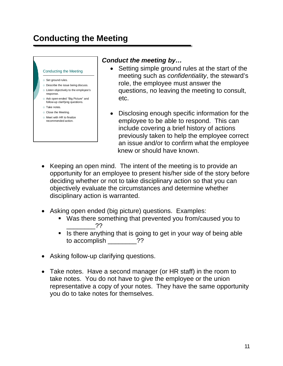## <span id="page-11-0"></span>**Conducting the Meeting**

#### Conducting the Meeting

- o Set ground rules.
- Describe the issue being discuss.
- Listen objectively to the employee's response.
- Ask open-ended "Big Picture" and follow-up clarifying questions.
- o Take notes.
- Close the Meeting.
- $\circ$  Meet with HR to finalize recommended action.

#### *Conduct the meeting by…*

- Setting simple ground rules at the start of the meeting such as *confidentiality*, the steward's role, the employee must answer the questions, no leaving the meeting to consult, etc.
- Disclosing enough specific information for the employee to be able to respond. This can include covering a brief history of actions previously taken to help the employee correct an issue and/or to confirm what the employee knew or should have known.
- Keeping an open mind. The intent of the meeting is to provide an opportunity for an employee to present his/her side of the story before deciding whether or not to take disciplinary action so that you can objectively evaluate the circumstances and determine whether disciplinary action is warranted.
- Asking open ended (big picture) questions. Examples:
	- Was there something that prevented you from/caused you to  $22$
	- If is there anything that is going to get in your way of being able to accomplish \_\_\_\_\_\_\_\_??
- Asking follow-up clarifying questions.
- Take notes.Have a second manager (or HR staff) in the room to take notes. You do not have to give the employee or the union representative a copy of your notes. They have the same opportunity you do to take notes for themselves.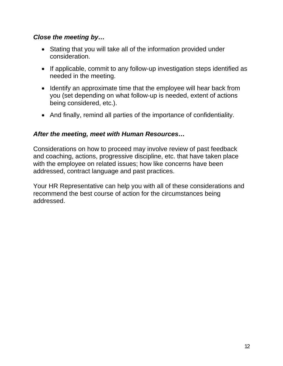#### *Close the meeting by…*

- Stating that you will take all of the information provided under consideration.
- If applicable, commit to any follow-up investigation steps identified as needed in the meeting.
- Identify an approximate time that the employee will hear back from you (set depending on what follow-up is needed, extent of actions being considered, etc.).
- And finally, remind all parties of the importance of confidentiality.

#### *After the meeting, meet with Human Resources…*

Considerations on how to proceed may involve review of past feedback and coaching, actions, progressive discipline, etc. that have taken place with the employee on related issues; how like concerns have been addressed, contract language and past practices.

Your HR Representative can help you with all of these considerations and recommend the best course of action for the circumstances being addressed.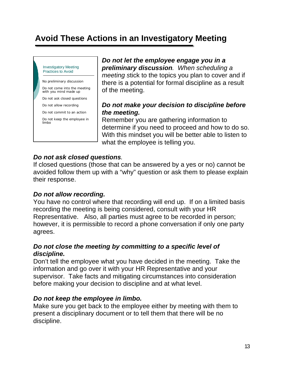## <span id="page-13-0"></span>**Avoid These Actions in an Investigatory Meeting**

Investigatory Meeting Practices to Avoid

No preliminary discussion

Do not come into the meeting with you mind made up

Do not ask closed questions

Do not allow recording

Do not commit to an action

Do not keep the employee in limbo

*Do not let the employee engage you in a preliminary discussion. When scheduling a meeting s*tick to the topics you plan to cover and if there is a potential for formal discipline as a result of the meeting.

#### *Do not make your decision to discipline before the meeting.*

Remember you are gathering information to determine if you need to proceed and how to do so. With this mindset you will be better able to listen to what the employee is telling you.

#### *Do not ask closed questions.*

If closed questions (those that can be answered by a yes or no) cannot be avoided follow them up with a "why" question or ask them to please explain their response.

#### *Do not allow recording.*

You have no control where that recording will end up. If on a limited basis recording the meeting is being considered, consult with your HR Representative. Also, all parties must agree to be recorded in person; however, it is permissible to record a phone conversation if only one party agrees.

#### *Do not close the meeting by committing to a specific level of discipline.*

Don't tell the employee what you have decided in the meeting. Take the information and go over it with your HR Representative and your supervisor. Take facts and mitigating circumstances into consideration before making your decision to discipline and at what level.

#### *Do not keep the employee in limbo.*

Make sure you get back to the employee either by meeting with them to present a disciplinary document or to tell them that there will be no discipline.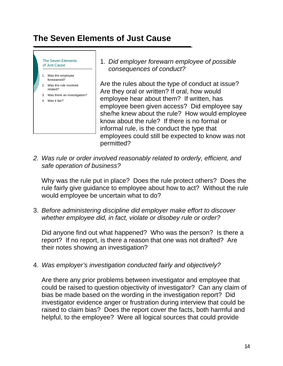## <span id="page-14-0"></span>**The Seven Elements of Just Cause**

The Seven Elements of Just Cause 1. Was the employee forewarned? 2. Was the rule involved related? 3. Was there an investigation? 4. Was it fair?

1. *Did employer forewarn employee of possible consequences of conduct?*

Are the rules about the type of conduct at issue? Are they oral or written? If oral, how would employee hear about them? If written, has employee been given access? Did employee say she/he knew about the rule? How would employee know about the rule? If there is no formal or informal rule, is the conduct the type that employees could still be expected to know was not permitted?

*2. Was rule or order involved reasonably related to orderly, efficient, and safe operation of business?* 

Why was the rule put in place? Does the rule protect others? Does the rule fairly give guidance to employee about how to act? Without the rule would employee be uncertain what to do?

3. *Before administering discipline did employer make effort to discover whether employee did, in fact, violate or disobey rule or order?*

Did anyone find out what happened? Who was the person? Is there a report? If no report, is there a reason that one was not drafted? Are their notes showing an investigation?

4. *Was employer's investigation conducted fairly and objectively?*

Are there any prior problems between investigator and employee that could be raised to question objectivity of investigator? Can any claim of bias be made based on the wording in the investigation report? Did investigator evidence anger or frustration during interview that could be raised to claim bias? Does the report cover the facts, both harmful and helpful, to the employee? Were all logical sources that could provide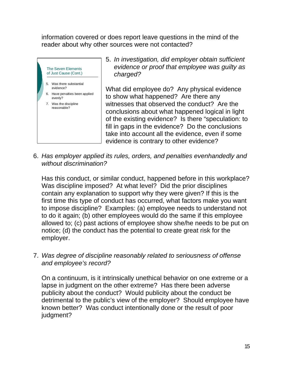information covered or does report leave questions in the mind of the reader about why other sources were not contacted?



5. *In investigation, did employer obtain sufficient evidence or proof that employee was guilty as charged?*

What did employee do? Any physical evidence to show what happened? Are there any witnesses that observed the conduct? Are the conclusions about what happened logical in light of the existing evidence? Is there "speculation: to fill in gaps in the evidence? Do the conclusions take into account all the evidence, even if some evidence is contrary to other evidence?

6. *Has employer applied its rules, orders, and penalties evenhandedly and without discrimination?*

Has this conduct, or similar conduct, happened before in this workplace? Was discipline imposed? At what level? Did the prior disciplines contain any explanation to support why they were given? If this is the first time this type of conduct has occurred, what factors make you want to impose discipline? Examples: (a) employee needs to understand not to do it again; (b) other employees would do the same if this employee allowed to; (c) past actions of employee show she/he needs to be put on notice; (d) the conduct has the potential to create great risk for the employer.

7. *Was degree of discipline reasonably related to seriousness of offense and employee's record?*

On a continuum, is it intrinsically unethical behavior on one extreme or a lapse in judgment on the other extreme? Has there been adverse publicity about the conduct? Would publicity about the conduct be detrimental to the public's view of the employer? Should employee have known better? Was conduct intentionally done or the result of poor judgment?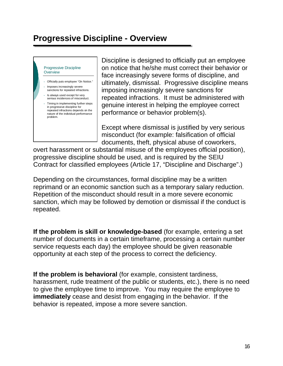## **Progressive Discipline - Overview**

Progressive Discipline **Overview** 

- Officially puts employee "On Notice."
- Imposes increasingly severe sanctions for repeated infractions.
- Is always used except for very serious incidences of misconduct.
- Timing in implementing further steps in progressive discipline for repeated infractions depends on the nature of the individual performance problem.

Discipline is designed to officially put an employee on notice that he/she must correct their behavior or face increasingly severe forms of discipline, and ultimately, dismissal. Progressive discipline means imposing increasingly severe sanctions for repeated infractions. It must be administered with genuine interest in helping the employee correct performance or behavior problem(s).

Except where dismissal is justified by very serious misconduct (for example: falsification of official documents, theft, physical abuse of coworkers,

overt harassment or substantial misuse of the employees official position), progressive discipline should be used, and is required by the SEIU Contract for classified employees (Article 17, "Discipline and Discharge".)

Depending on the circumstances, formal discipline may be a written reprimand or an economic sanction such as a temporary salary reduction. Repetition of the misconduct should result in a more severe economic sanction, which may be followed by demotion or dismissal if the conduct is repeated.

**If the problem is skill or knowledge-based** (for example, entering a set number of documents in a certain timeframe, processing a certain number service requests each day) the employee should be given reasonable opportunity at each step of the process to correct the deficiency.

**If the problem is behavioral** (for example, consistent tardiness, harassment, rude treatment of the public or students, etc.), there is no need to give the employee time to improve. You may require the employee to **immediately** cease and desist from engaging in the behavior. If the behavior is repeated, impose a more severe sanction.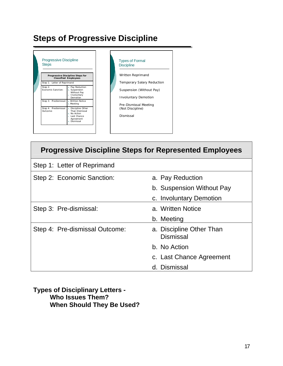## **Steps of Progressive Discipline**



| <b>Progressive Discipline Steps for Represented Employees</b> |                                              |  |  |
|---------------------------------------------------------------|----------------------------------------------|--|--|
| Step 1: Letter of Reprimand                                   |                                              |  |  |
| Step 2: Economic Sanction:                                    | a. Pay Reduction                             |  |  |
|                                                               | b. Suspension Without Pay                    |  |  |
|                                                               | c. Involuntary Demotion                      |  |  |
| Step 3: Pre-dismissal:                                        | a. Written Notice                            |  |  |
|                                                               | b. Meeting                                   |  |  |
| Step 4: Pre-dismissal Outcome:                                | a. Discipline Other Than<br><b>Dismissal</b> |  |  |
|                                                               | b. No Action                                 |  |  |
|                                                               | c. Last Chance Agreement                     |  |  |
|                                                               | d. Dismissal                                 |  |  |

**Types of Disciplinary Letters - Who Issues Them? When Should They Be Used?**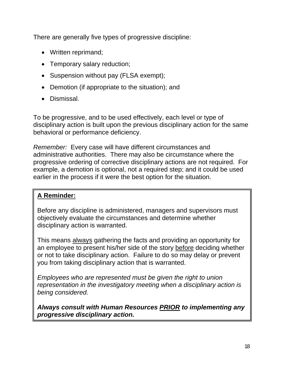There are generally five types of progressive discipline:

- Written reprimand;
- Temporary salary reduction;
- Suspension without pay (FLSA exempt);
- Demotion (if appropriate to the situation); and
- **•** Dismissal

To be progressive, and to be used effectively, each level or type of disciplinary action is built upon the previous disciplinary action for the same behavioral or performance deficiency.

*Remember:* Every case will have different circumstances and administrative authorities. There may also be circumstance where the progressive ordering of corrective disciplinary actions are not required. For example, a demotion is optional, not a required step; and it could be used earlier in the process if it were the best option for the situation.

### **A Reminder:**

Before any discipline is administered, managers and supervisors must objectively evaluate the circumstances and determine whether disciplinary action is warranted.

This means always gathering the facts and providing an opportunity for an employee to present his/her side of the story before deciding whether or not to take disciplinary action. Failure to do so may delay or prevent you from taking disciplinary action that is warranted.

*Employees who are represented must be given the right to union representation in the investigatory meeting when a disciplinary action is being considered.* 

*Always consult with Human Resources PRIOR to implementing any progressive disciplinary action.*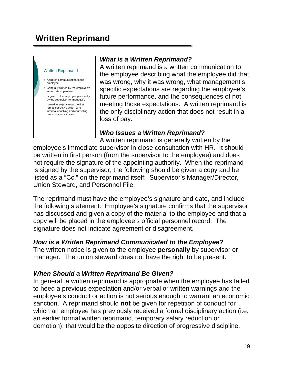## <span id="page-19-0"></span>**Written Reprimand**

#### Written Reprimand

- A written communication to the employee.
- Generally written by the employee's immediate supervisor.
- o Is given to the employee personally by the supervisor (or manager).
- $\circ$  Issued to employee as the first formal corrective action when informal coaching and counseling has not been successful.

#### *What is a Written Reprimand?*

A written reprimand is a written communication to the employee describing what the employee did that was wrong, why it was wrong, what management's specific expectations are regarding the employee's future performance, and the consequences of not meeting those expectations. A written reprimand is the only disciplinary action that does not result in a loss of pay.

#### *Who Issues a Written Reprimand?*

A written reprimand is generally written by the employee's immediate supervisor in close consultation with HR. It should be written in first person (from the supervisor to the employee) and does not require the signature of the appointing authority. When the reprimand is signed by the supervisor, the following should be given a copy and be listed as a "Cc." on the reprimand itself: Supervisor's Manager/Director, Union Steward, and Personnel File.

The reprimand must have the employee's signature and date, and include the following statement: Employee's signature confirms that the supervisor has discussed and given a copy of the material to the employee and that a copy will be placed in the employee's official personnel record. The signature does not indicate agreement or disagreement.

#### *How is a Written Reprimand Communicated to the Employee?*

The written notice is given to the employee **personally** by supervisor or manager. The union steward does not have the right to be present.

#### *When Should a Written Reprimand Be Given?*

In general, a written reprimand is appropriate when the employee has failed to heed a previous expectation and/or verbal or written warnings and the employee's conduct or action is not serious enough to warrant an economic sanction. A reprimand should **not** be given for repetition of conduct for which an employee has previously received a formal disciplinary action (i.e. an earlier formal written reprimand, temporary salary reduction or demotion); that would be the opposite direction of progressive discipline.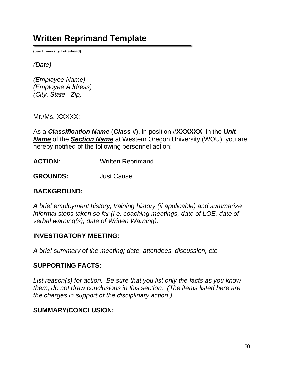## <span id="page-20-0"></span>**Written Reprimand Template**

**(use University Letterhead)** 

*(Date)*

*(Employee Name) (Employee Address) (City, State Zip)* 

Mr./Ms. XXXXX:

As a *Classification Name* (*Class #*), in position #**XXXXXX**, in the *Unit Name* of the *Section Name* at Western Oregon University (WOU), you are hereby notified of the following personnel action:

**ACTION:** Written Reprimand

**GROUNDS:** Just Cause

#### **BACKGROUND:**

*A brief employment history, training history (if applicable) and summarize informal steps taken so far (i.e. coaching meetings, date of LOE, date of verbal warning(s), date of Written Warning).* 

#### **INVESTIGATORY MEETING:**

*A brief summary of the meeting; date, attendees, discussion, etc.* 

#### **SUPPORTING FACTS:**

*List reason(s) for action. Be sure that you list only the facts as you know them; do not draw conclusions in this section. (The items listed here are the charges in support of the disciplinary action.)* 

#### **SUMMARY/CONCLUSION:**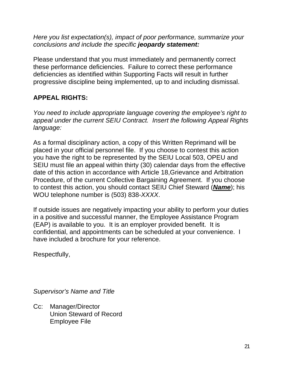*Here you list expectation(s), impact of poor performance, summarize your conclusions and include the specific jeopardy statement:* 

Please understand that you must immediately and permanently correct these performance deficiencies. Failure to correct these performance deficiencies as identified within Supporting Facts will result in further progressive discipline being implemented, up to and including dismissal.

### **APPEAL RIGHTS:**

*You need to include appropriate language covering the employee's right to appeal under the current SEIU Contract. Insert the following Appeal Rights language:* 

As a formal disciplinary action, a copy of this Written Reprimand will be placed in your official personnel file. If you choose to contest this action you have the right to be represented by the SEIU Local 503, OPEU and SEIU must file an appeal within thirty (30) calendar days from the effective date of this action in accordance with Article 18,Grievance and Arbitration Procedure, of the current Collective Bargaining Agreement. If you choose to contest this action, you should contact SEIU Chief Steward (*Name*); his WOU telephone number is (503) 838-*XXXX*.

If outside issues are negatively impacting your ability to perform your duties in a positive and successful manner, the Employee Assistance Program (EAP) is available to you. It is an employer provided benefit. It is confidential, and appointments can be scheduled at your convenience. I have included a brochure for your reference.

Respectfully,

*Supervisor's Name and Title* 

Cc: Manager/Director Union Steward of Record Employee File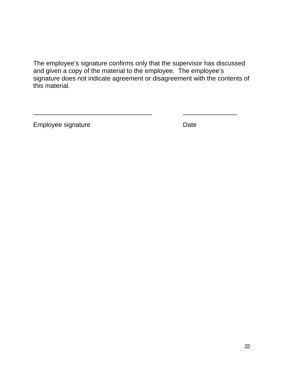The employee's signature confirms only that the supervisor has discussed and given a copy of the material to the employee. The employee's signature does not indicate agreement or disagreement with the contents of this material.

\_\_\_\_\_\_\_\_\_\_\_\_\_\_\_\_\_\_\_\_\_\_\_\_\_\_\_\_\_\_\_\_\_ \_\_\_\_\_\_\_\_\_\_\_\_\_\_\_

Employee signature Date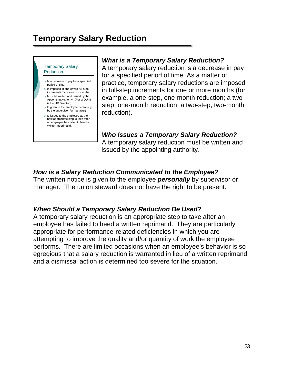## <span id="page-23-0"></span>**Temporary Salary Reduction**

Temporary Salary Reduction

- $\circ$  Is a decrease in pay for a specified period of time.
- $\circ$  Is imposed in one or two full-step increments for one or two months.
- $\circ$  Must be written and issued by the Appointing Authority. (For WOU, it
- is the HR Director.)  $\circ$  Is given to the employee personally by the supervisor (or manager).
- $\circ$  Is issued to the employee as the next appropriate step to take after an employee has failed to heed a Written Reprimand.

#### *What is a Temporary Salary Reduction?*

A temporary salary reduction is a decrease in pay for a specified period of time. As a matter of practice, temporary salary reductions are imposed in full-step increments for one or more months (for example, a one-step, one-month reduction; a twostep, one-month reduction; a two-step, two-month reduction).

## *Who Issues a Temporary Salary Reduction?*

A temporary salary reduction must be written and issued by the appointing authority.

#### *How is a Salary Reduction Communicated to the Employee?*

The written notice is given to the employee *personally* by supervisor or manager. The union steward does not have the right to be present.

#### *When Should a Temporary Salary Reduction Be Used?*

A temporary salary reduction is an appropriate step to take after an employee has failed to heed a written reprimand. They are particularly appropriate for performance-related deficiencies in which you are attempting to improve the quality and/or quantity of work the employee performs. There are limited occasions when an employee's behavior is so egregious that a salary reduction is warranted in lieu of a written reprimand and a dismissal action is determined too severe for the situation.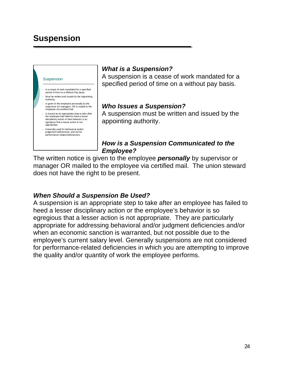## <span id="page-24-0"></span>**Suspension**



#### Is a cease of work mandated for a specified period of time on a Without Pay basis.

- Must be written and issued by the Appointing Authority.
- Is given to the employee personally by the supervisor (or manager), OR is mailed to the employee via certified mail.
- Is issued as an appropriate step to take after the employee had failed to heed a lesser disciplinary action or their behavior is so egregious that a lesser action is not appropriate.
- Generally used for behavioral and/or judgement deficiencies, and not for performance-related deficiencies.

#### *What is a Suspension?*

A suspension is a cease of work mandated for a specified period of time on a without pay basis.

#### *Who Issues a Suspension?*

A suspension must be written and issued by the appointing authority.

#### *How is a Suspension Communicated to the Employee?*

The written notice is given to the employee *personally* by supervisor or manager OR mailed to the employee via certified mail. The union steward does not have the right to be present.

#### *When Should a Suspension Be Used?*

A suspension is an appropriate step to take after an employee has failed to heed a lesser disciplinary action or the employee's behavior is so egregious that a lesser action is not appropriate. They are particularly appropriate for addressing behavioral and/or judgment deficiencies and/or when an economic sanction is warranted, but not possible due to the employee's current salary level. Generally suspensions are not considered for performance-related deficiencies in which you are attempting to improve the quality and/or quantity of work the employee performs.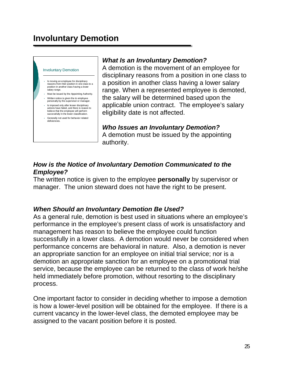<span id="page-25-0"></span>

#### Is moving an employee for disciplinary reasons from their position in one class to a position in another class having a lower .<br>salary range.

- Must be issued by the Appointing Authority.
- Written notice is given the to employee personally by the supervisor or manager.
- Is imposed only after lesser disciplinary actions have failed, and there is reason to believe that the employee will perform successfully in the lower classification. Generally not used for behavior related

deficiencies.

#### *What Is an Involuntary Demotion?*

A demotion is the movement of an employee for disciplinary reasons from a position in one class to a position in another class having a lower salary range. When a represented employee is demoted, the salary will be determined based upon the applicable union contract. The employee's salary eligibility date is not affected.

*Who Issues an Involuntary Demotion?* A demotion must be issued by the appointing authority.

#### *How is the Notice of Involuntary Demotion Communicated to the Employee?*

The written notice is given to the employee **personally** by supervisor or manager. The union steward does not have the right to be present.

#### *When Should an Involuntary Demotion Be Used?*

As a general rule, demotion is best used in situations where an employee's performance in the employee's present class of work is unsatisfactory and management has reason to believe the employee could function successfully in a lower class. A demotion would never be considered when performance concerns are behavioral in nature. Also, a demotion is never an appropriate sanction for an employee on initial trial service; nor is a demotion an appropriate sanction for an employee on a promotional trial service, because the employee can be returned to the class of work he/she held immediately before promotion, without resorting to the disciplinary process.

One important factor to consider in deciding whether to impose a demotion is how a lower-level position will be obtained for the employee. If there is a current vacancy in the lower-level class, the demoted employee may be assigned to the vacant position before it is posted.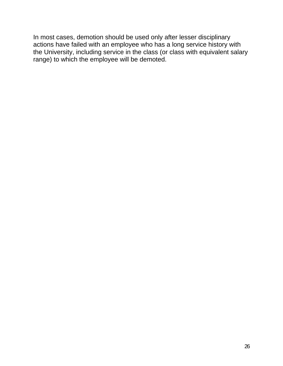In most cases, demotion should be used only after lesser disciplinary actions have failed with an employee who has a long service history with the University, including service in the class (or class with equivalent salary range) to which the employee will be demoted.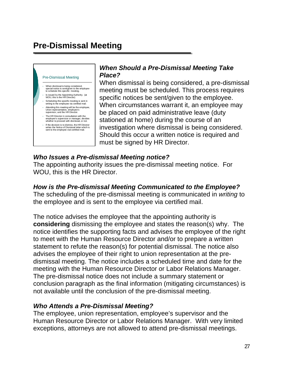## <span id="page-27-0"></span>**Pre-Dismissal Meeting**



# *When Should a Pre-Dismissal Meeting Take*

When dismissal is being considered, a pre-dismissal meeting must be scheduled. This process requires specific notices be sent/given to the employee. When circumstances warrant it, an employee may be placed on paid administrative leave (duty stationed at home) during the course of an investigation where dismissal is being considered. Should this occur a written notice is required and must be signed by HR Director.

#### *Who Issues a Pre-dismissal Meeting notice?*

The appointing authority issues the pre-dismissal meeting notice. For WOU, this is the HR Director.

### *How is the Pre-dismissal Meeting Communicated to the Employee?*

The scheduling of the pre-dismissal meeting is communicated in *writing* to the employee and is sent to the employee via certified mail.

The notice advises the employee that the appointing authority is **considering** dismissing the employee and states the reason(s) why. The notice identifies the supporting facts and advises the employee of the right to meet with the Human Resource Director and/or to prepare a written statement to refute the reason(s) for potential dismissal. The notice also advises the employee of their right to union representation at the predismissal meeting. The notice includes a scheduled time and date for the meeting with the Human Resource Director or Labor Relations Manager. The pre-dismissal notice does not include a summary statement or conclusion paragraph as the final information (mitigating circumstances) is not available until the conclusion of the pre-dismissal meeting.

#### *Who Attends a Pre-Dismissal Meeting?*

The employee, union representation, employee's supervisor and the Human Resource Director or Labor Relations Manager. With very limited exceptions, attorneys are not allowed to attend pre-dismissal meetings.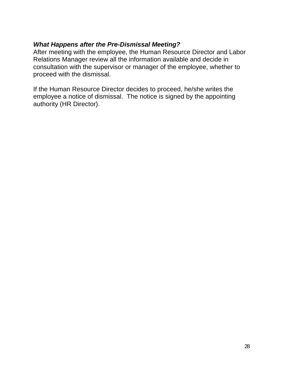#### *What Happens after the Pre-Dismissal Meeting?*

After meeting with the employee, the Human Resource Director and Labor Relations Manager review all the information available and decide in consultation with the supervisor or manager of the employee, whether to proceed with the dismissal.

If the Human Resource Director decides to proceed, he/she writes the employee a notice of dismissal. The notice is signed by the appointing authority (HR Director).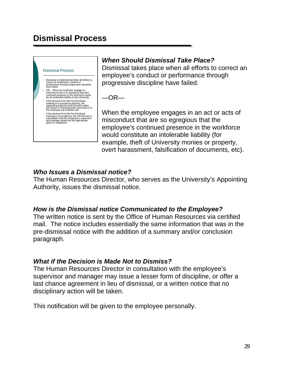## <span id="page-29-0"></span>**Dismissal Process**



- Dismissal is implemented when all efforts to correct an employee's conduct or performance through progressive discipline have failed.
- OR… When an employee engages in misconduct that is so egregious that their continued presence in the workforce would be an intolerable liability to the University.
- If the decision from the Pre-Dismissal meeting is to proceed to dismiss, the Appointing Authority (HR Director) writes the Notice of Dismissal letter and sends it to the employee vial certified mail.
- If the decision from the Pre-Dismissal meeting is not to dismiss, the HR Director in consultation with the employee's supervisor and manager determine the appropriate action to implement.

#### *When Should Dismissal Take Place?*

Dismissal takes place when all efforts to correct an employee's conduct or performance through progressive discipline have failed.

 $-OR-$ 

When the employee engages in an act or acts of misconduct that are so egregious that the employee's continued presence in the workforce would constitute an intolerable liability (for example, theft of University monies or property, overt harassment, falsification of documents, etc).

### *Who Issues a Dismissal notice?*

The Human Resources Director, who serves as the University's Appointing Authority, issues the dismissal notice.

#### *How is the Dismissal notice Communicated to the Employee?*

The written notice is sent by the Office of Human Resources via certified mail. The notice includes essentially the same information that was in the pre-dismissal notice with the addition of a summary and/or conclusion paragraph.

#### *What if the Decision is Made Not to Dismiss?*

The Human Resources Director in consultation with the employee's supervisor and manager may issue a lesser form of discipline, or offer a last chance agreement in lieu of dismissal, or a written notice that no disciplinary action will be taken.

This notification will be given to the employee personally.